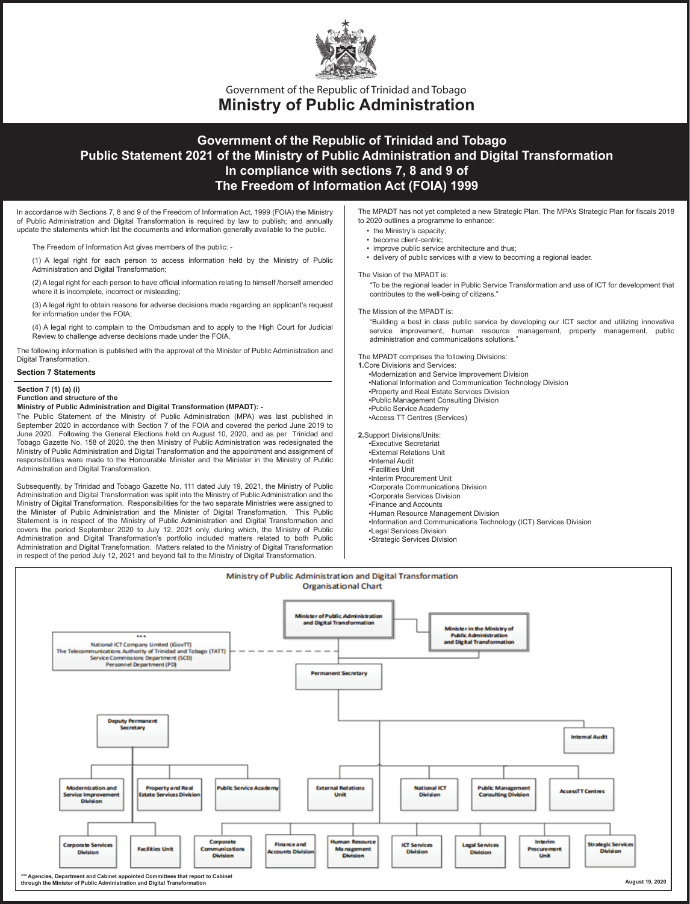

**Ministry of Public Administration** Government of the Republic of Trinidad and Tobago

# **Government of the Republic of Trinidad and Tobago Public Statement 2021 of the Ministry of Public Administration and Digital Transformation In compliance with sections 7, 8 and 9 of The Freedom of Information Act (FOIA) 1999**

In accordance with Sections 7, 8 and 9 of the Freedom of Information Act, 1999 (FOIA) the Ministry of Public Administration and Digital Transformation is required by law to publish; and annually update the statements which list the documents and information generally available to the public.

The Freedom of Information Act gives members of the public: -

(1) A legal right for each person to access information held by the Ministry of Public Administration and Digital Transformation;

(2) A legal right for each person to have official information relating to himself /herself amended where it is incomplete, incorrect or misleading;

(3) A legal right to obtain reasons for adverse decisions made regarding an applicant's request for information under the FOIA;

(4) A legal right to complain to the Ombudsman and to apply to the High Court for Judicial Review to challenge adverse decisions made under the FOIA.

The following information is published with the approval of the Minister of Public Administration and Digital Transformation.

# **Section 7 Statements**

### **Section 7 (1) (a) (i) Function and structure of the**

**Ministry of Public Administration and Digital Transformation (MPADT): -**

The Public Statement of the Ministry of Public Administration (MPA) was last published in September 2020 in accordance with Section 7 of the FOIA and covered the period June 2019 to June 2020. Following the General Elections held on August 10, 2020, and as per Trinidad and Tobago Gazette No. 158 of 2020, the then Ministry of Public Administration was redesignated the Ministry of Public Administration and Digital Transformation and the appointment and assignment of responsibilities were made to the Honourable Minister and the Minister in the Ministry of Public Administration and Digital Transformation.

Subsequently, by Trinidad and Tobago Gazette No. 111 dated July 19, 2021, the Ministry of Public Administration and Digital Transformation was split into the Ministry of Public Administration and the Ministry of Digital Transformation. Responsibilities for the two separate Ministries were assigned to the Minister of Public Administration and the Minister of Digital Transformation. This Public Statement is in respect of the Ministry of Public Administration and Digital Transformation and covers the period September 2020 to July 12, 2021 only, during which, the Ministry of Public Administration and Digital Transformation's portfolio included matters related to both Public Administration and Digital Transformation. Matters related to the Ministry of Digital Transformation in respect of the period July 12, 2021 and beyond fall to the Ministry of Digital Transformation.

The MPADT has not yet completed a new Strategic Plan. The MPA's Strategic Plan for fiscals 2018 to 2020 outlines a programme to enhance:

- the Ministry's capacity;
- become client-centric;
- improve public service architecture and thus;
- delivery of public services with a view to becoming a regional leader.

#### The Vision of the MPADT is:

"To be the regional leader in Public Service Transformation and use of ICT for development that contributes to the well-being of citizens."

The Mission of the MPADT is:

"Building a best in class public service by developing our ICT sector and utilizing innovative service improvement, human resource management, property management, public administration and communications solutions."

The MPADT comprises the following Divisions:

- **1.**Core Divisions and Services:
	- •Modernization and Service Improvement Division •National Information and Communication Technology Division •Property and Real Estate Services Division •Public Management Consulting Division
- •Public Service Academy
- •Access TT Centres (Services)
- **2.**Support Divisions/Units:
- •Executive Secretariat
- •External Relations Unit
- •Internal Audit •Facilities Unit
- •Interim Procurement Unit
- •Corporate Communications Division
- •Corporate Services Division
- •Finance and Accounts
- •Human Resource Management Division
- •Information and Communications Technology (ICT) Services Division
- •Legal Services Division
- •Strategic Services Division

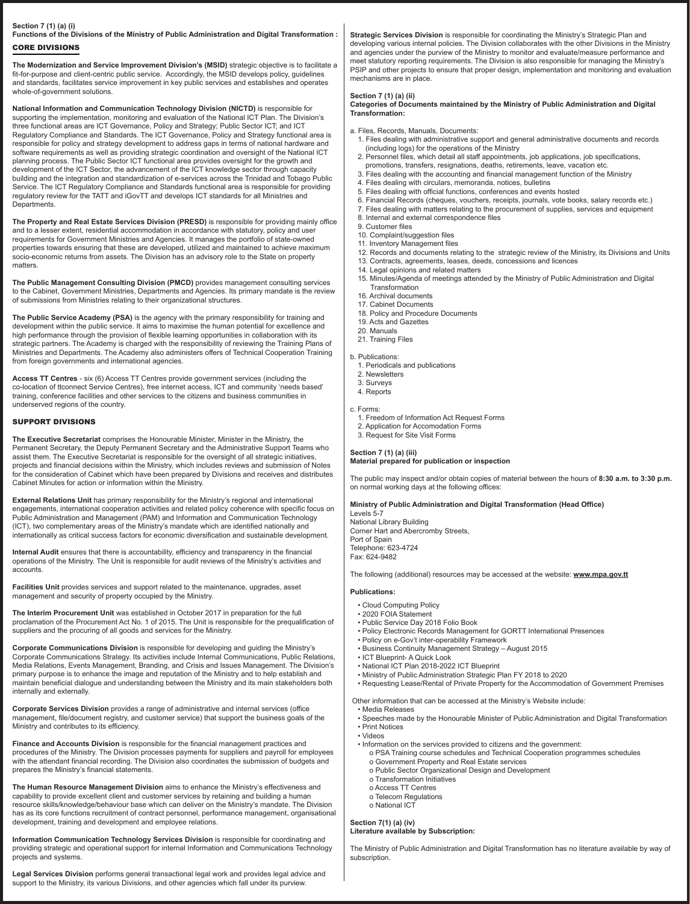# **Section 7 (1) (a) (i) Functions of the Divisions of the Ministry of Public Administration and Digital Transformation :**

CORE DIVISIONS

**The Modernization and Service Improvement Division's (MSID)** strategic objective is to facilitate a fit-for-purpose and client-centric public service. Accordingly, the MSID develops policy, guidelines and standards, facilitates service improvement in key public services and establishes and operates whole-of-government solutions.

**National Information and Communication Technology Division (NICTD)** is responsible for supporting the implementation, monitoring and evaluation of the National ICT Plan. The Division's three functional areas are ICT Governance, Policy and Strategy; Public Sector ICT; and ICT Regulatory Compliance and Standards. The ICT Governance, Policy and Strategy functional area is responsible for policy and strategy development to address gaps in terms of national hardware and software requirements as well as providing strategic coordination and oversight of the National ICT planning process. The Public Sector ICT functional area provides oversight for the growth and development of the ICT Sector, the advancement of the ICT knowledge sector through capacity building and the integration and standardization of e-services across the Trinidad and Tobago Public Service. The ICT Regulatory Compliance and Standards functional area is responsible for providing regulatory review for the TATT and iGovTT and develops ICT standards for all Ministries and **Departments** 

**The Property and Real Estate Services Division (PRESD)** is responsible for providing mainly office and to a lesser extent, residential accommodation in accordance with statutory, policy and user requirements for Government Ministries and Agencies. It manages the portfolio of state-owned properties towards ensuring that these are developed, utilized and maintained to achieve maximum socio-economic returns from assets. The Division has an advisory role to the State on property matters.

**The Public Management Consulting Division (PMCD)** provides management consulting services to the Cabinet, Government Ministries, Departments and Agencies. Its primary mandate is the review of submissions from Ministries relating to their organizational structures.

**The Public Service Academy (PSA)** is the agency with the primary responsibility for training and development within the public service. It aims to maximise the human potential for excellence and high performance through the provision of flexible learning opportunities in collaboration with its strategic partners. The Academy is charged with the responsibility of reviewing the Training Plans of Ministries and Departments. The Academy also administers offers of Technical Cooperation Training from foreign governments and international agencies.

**Access TT Centres** - six (6) Access TT Centres provide government services (including the co-location of ttconnect Service Centres), free internet access, ICT and community 'needs based' training, conference facilities and other services to the citizens and business communities in underserved regions of the country.

# SUPPORT DIVISIONS

**The Executive Secretariat** comprises the Honourable Minister, Minister in the Ministry, the Permanent Secretary, the Deputy Permanent Secretary and the Administrative Support Teams who assist them. The Executive Secretariat is responsible for the oversight of all strategic initiatives, projects and financial decisions within the Ministry, which includes reviews and submission of Notes for the consideration of Cabinet which have been prepared by Divisions and receives and distributes Cabinet Minutes for action or information within the Ministry.

**External Relations Unit** has primary responsibility for the Ministry's regional and international engagements, international cooperation activities and related policy coherence with specific focus on Public Administration and Management (PAM) and Information and Communication Technology (ICT), two complementary areas of the Ministry's mandate which are identified nationally and internationally as critical success factors for economic diversification and sustainable development.

**Internal Audit** ensures that there is accountability, efficiency and transparency in the financial operations of the Ministry. The Unit is responsible for audit reviews of the Ministry's activities and accounts.

**Facilities Unit** provides services and support related to the maintenance, upgrades, asset management and security of property occupied by the Ministry.

**The Interim Procurement Unit** was established in October 2017 in preparation for the full proclamation of the Procurement Act No. 1 of 2015. The Unit is responsible for the prequalification of suppliers and the procuring of all goods and services for the Ministry.

**Corporate Communications Division** is responsible for developing and guiding the Ministry's Corporate Communications Strategy. Its activities include Internal Communications, Public Relations, Media Relations, Events Management, Branding, and Crisis and Issues Management. The Division's primary purpose is to enhance the image and reputation of the Ministry and to help establish and maintain beneficial dialogue and understanding between the Ministry and its main stakeholders both internally and externally.

**Corporate Services Division** provides a range of administrative and internal services (office management, file/document registry, and customer service) that support the business goals of the Ministry and contributes to its efficiency.

**Finance and Accounts Division** is responsible for the financial management practices and procedures of the Ministry. The Division processes payments for suppliers and payroll for employees with the attendant financial recording. The Division also coordinates the submission of budgets and prepares the Ministry's financial statements.

**The Human Resource Management Division** aims to enhance the Ministry's effectiveness and capability to provide excellent client and customer services by retaining and building a human resource skills/knowledge/behaviour base which can deliver on the Ministry's mandate. The Division has as its core functions recruitment of contract personnel, performance management, organisational development, training and development and employee relations.

**Information Communication Technology Services Division** is responsible for coordinating and providing strategic and operational support for internal Information and Communications Technology projects and systems.

**Legal Services Division** performs general transactional legal work and provides legal advice and support to the Ministry, its various Divisions, and other agencies which fall under its purview.

**Strategic Services Division** is responsible for coordinating the Ministry's Strategic Plan and developing various internal policies. The Division collaborates with the other Divisions in the Ministry and agencies under the purview of the Ministry to monitor and evaluate/measure performance and meet statutory reporting requirements. The Division is also responsible for managing the Ministry's PSIP and other projects to ensure that proper design, implementation and monitoring and evaluation mechanisms are in place.

# **Section 7 (1) (a) (ii)**

**Categories of Documents maintained by the Ministry of Public Administration and Digital Transformation:** 

- a. Files, Records, Manuals, Documents:
	- 1. Files dealing with administrative support and general administrative documents and records (including logs) for the operations of the Ministry
	- 2. Personnel files, which detail all staff appointments, job applications, job specifications,
	- promotions, transfers, resignations, deaths, retirements, leave, vacation etc. 3. Files dealing with the accounting and financial management function of the Ministry
	- 4. Files dealing with circulars, memoranda, notices, bulletins
- 5. Files dealing with official functions, conferences and events hosted
- 6. Financial Records (cheques, vouchers, receipts, journals, vote books, salary records etc.)
- 7. Files dealing with matters relating to the procurement of supplies, services and equipment
- 8. Internal and external correspondence files
- 9. Customer files
- 10. Complaint/suggestion files 11. Inventory Management files
- 12. Records and documents relating to the strategic review of the Ministry, its Divisions and Units
- 13. Contracts, agreements, leases, deeds, concessions and licences
- 14. Legal opinions and related matters
- 15. Minutes/Agenda of meetings attended by the Ministry of Public Administration and Digital Transformation
- 16. Archival documents
- 17. Cabinet Documents
- 18. Policy and Procedure Documents 19. Acts and Gazettes
- 20. Manuals
- 21. Training Files
- 
- b. Publications: 1. Periodicals and publications
	- 2. Newsletters
	- 3. Surveys
	- 4. Reports
- c. Forms:
- 1. Freedom of Information Act Request Forms
- 2. Application for Accomodation Forms
- 3. Request for Site Visit Forms

# **Section 7 (1) (a) (iii)**

# **Material prepared for publication or inspection**

The public may inspect and/or obtain copies of material between the hours of **8:30 a.m. to 3:30 p.m.** on normal working days at the following offices:

# **Ministry of Public Administration and Digital Transformation (Head Office)**

Levels 5-7 National Library Building Corner Hart and Abercromby Streets, Port of Spain Telephone: 623-4724 Fax: 624-9482

The following (additional) resources may be accessed at the website: **www.mpa.gov.tt**

# **Publications:**

- Cloud Computing Policy
- 2020 FOIA Statement
- Public Service Day 2018 Folio Book
- Policy Electronic Records Management for GORTT International Presences
- Policy on e-Gov't inter-operability Framework
- Business Continuity Management Strategy August 2015 • ICT Blueprint- A Quick Look
- National ICT Plan 2018-2022 ICT Blueprint
- Ministry of Public Administration Strategic Plan FY 2018 to 2020
- Requesting Lease/Rental of Private Property for the Accommodation of Government Premises

Other information that can be accessed at the Ministry's Website include:

- Media Releases
- Speeches made by the Honourable Minister of Public Administration and Digital Transformation • Print Notices
- Videos
- Information on the services provided to citizens and the government:
	- o PSA Training course schedules and Technical Cooperation programmes schedules
	- o Government Property and Real Estate services
	- o Public Sector Organizational Design and Development
	- o Transformation Initiatives o Access TT Centres
- o Telecom Regulations
- o National ICT

#### **Section 7(1) (a) (iv) Literature available by Subscription:**

The Ministry of Public Administration and Digital Transformation has no literature available by way of subscription.